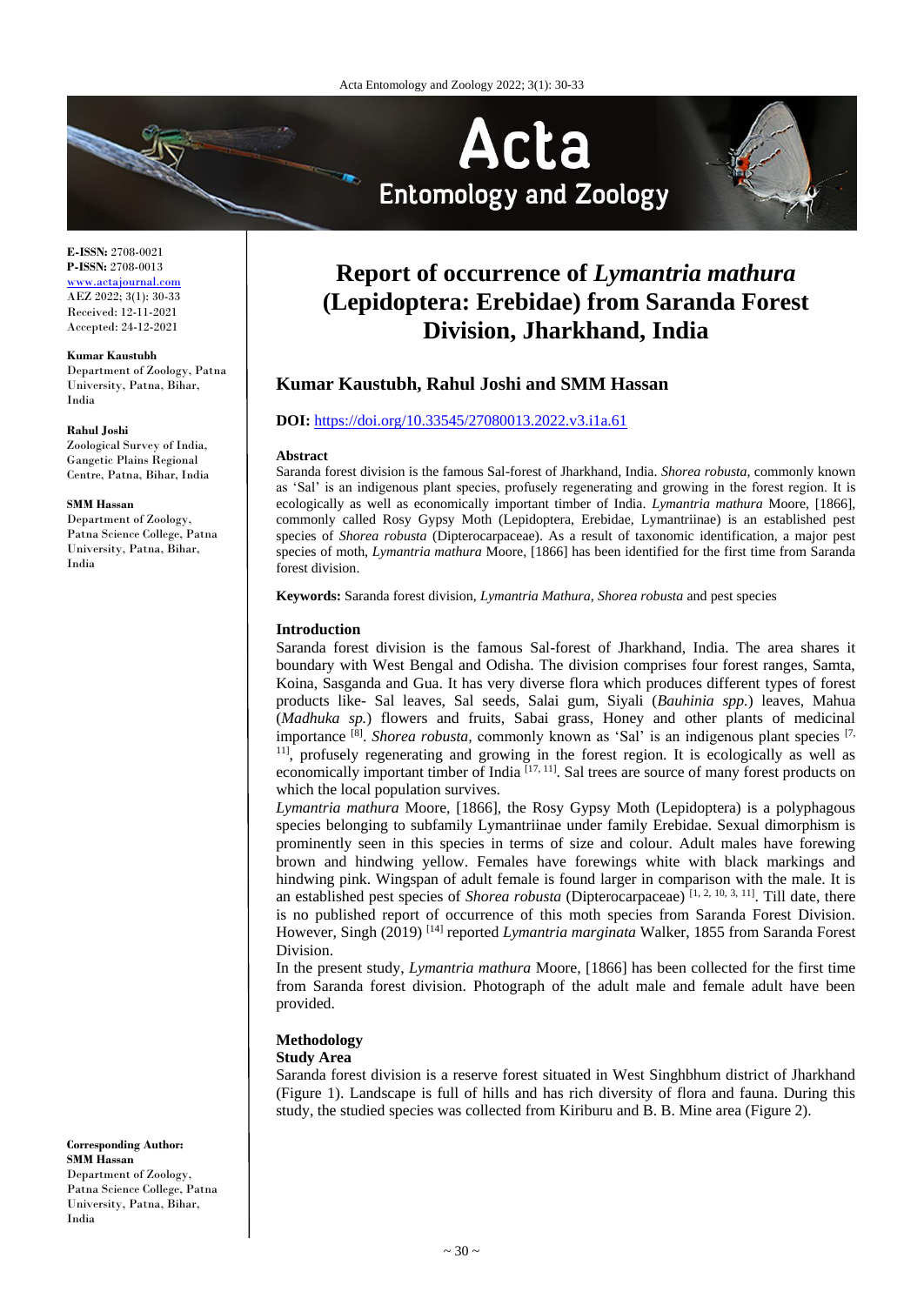

# **Report of occurrence of** *Lymantria mathura* **(Lepidoptera: Erebidae) from Saranda Forest Division, Jharkhand, India**

# **Kumar Kaustubh, Rahul Joshi and SMM Hassan**

# **DOI:** <https://doi.org/10.33545/27080013.2022.v3.i1a.61>

### **Abstract**

Saranda forest division is the famous Sal-forest of Jharkhand, India. *Shorea robusta,* commonly known as 'Sal' is an indigenous plant species, profusely regenerating and growing in the forest region. It is ecologically as well as economically important timber of India. *Lymantria mathura* Moore, [1866], commonly called Rosy Gypsy Moth (Lepidoptera, Erebidae, Lymantriinae) is an established pest species of *Shorea robusta* (Dipterocarpaceae). As a result of taxonomic identification, a major pest species of moth, *Lymantria mathura* Moore, [1866] has been identified for the first time from Saranda forest division.

**Keywords:** Saranda forest division, *Lymantria Mathura*, *Shorea robusta* and pest species

### **Introduction**

Saranda forest division is the famous Sal-forest of Jharkhand, India. The area shares it boundary with West Bengal and Odisha. The division comprises four forest ranges, Samta, Koina, Sasganda and Gua. It has very diverse flora which produces different types of forest products like- Sal leaves, Sal seeds, Salai gum, Siyali (*Bauhinia spp.*) leaves, Mahua (*Madhuka sp.*) flowers and fruits, Sabai grass, Honey and other plants of medicinal importance <sup>[8]</sup>. *Shorea robusta*, commonly known as 'Sal' is an indigenous plant species <sup>[7,</sup>] <sup>11]</sup>, profusely regenerating and growing in the forest region. It is ecologically as well as economically important timber of India <sup>[17, 11]</sup>. Sal trees are source of many forest products on which the local population survives.

*Lymantria mathura* Moore, [1866], the Rosy Gypsy Moth (Lepidoptera) is a polyphagous species belonging to subfamily Lymantriinae under family Erebidae. Sexual dimorphism is prominently seen in this species in terms of size and colour. Adult males have forewing brown and hindwing yellow. Females have forewings white with black markings and hindwing pink. Wingspan of adult female is found larger in comparison with the male. It is an established pest species of *Shorea robusta* (Dipterocarpaceae) [1, 2, 10, 3, 11]. Till date, there is no published report of occurrence of this moth species from Saranda Forest Division. However, Singh (2019) [14] reported *Lymantria marginata* Walker, 1855 from Saranda Forest Division.

In the present study, *Lymantria mathura* Moore, [1866] has been collected for the first time from Saranda forest division. Photograph of the adult male and female adult have been provided.

# **Methodology**

# **Study Area**

Saranda forest division is a reserve forest situated in West Singhbhum district of Jharkhand (Figure 1). Landscape is full of hills and has rich diversity of flora and fauna. During this study, the studied species was collected from Kiriburu and B. B. Mine area (Figure 2).

**E-ISSN:** 2708-0021 **P-ISSN:** 2708-0013 <www.actajournal.com> AEZ 2022; 3(1): 30-33 Received: 12-11-2021

Accepted: 24-12-2021

**Kumar Kaustubh**

Department of Zoology, Patna University, Patna, Bihar, India

# **Rahul Joshi**

Zoological Survey of India, Gangetic Plains Regional Centre, Patna, Bihar, India

#### **SMM Hassan**

Department of Zoology, Patna Science College, Patna University, Patna, Bihar, India

**Corresponding Author: SMM Hassan** Department of Zoology, Patna Science College, Patna University, Patna, Bihar, India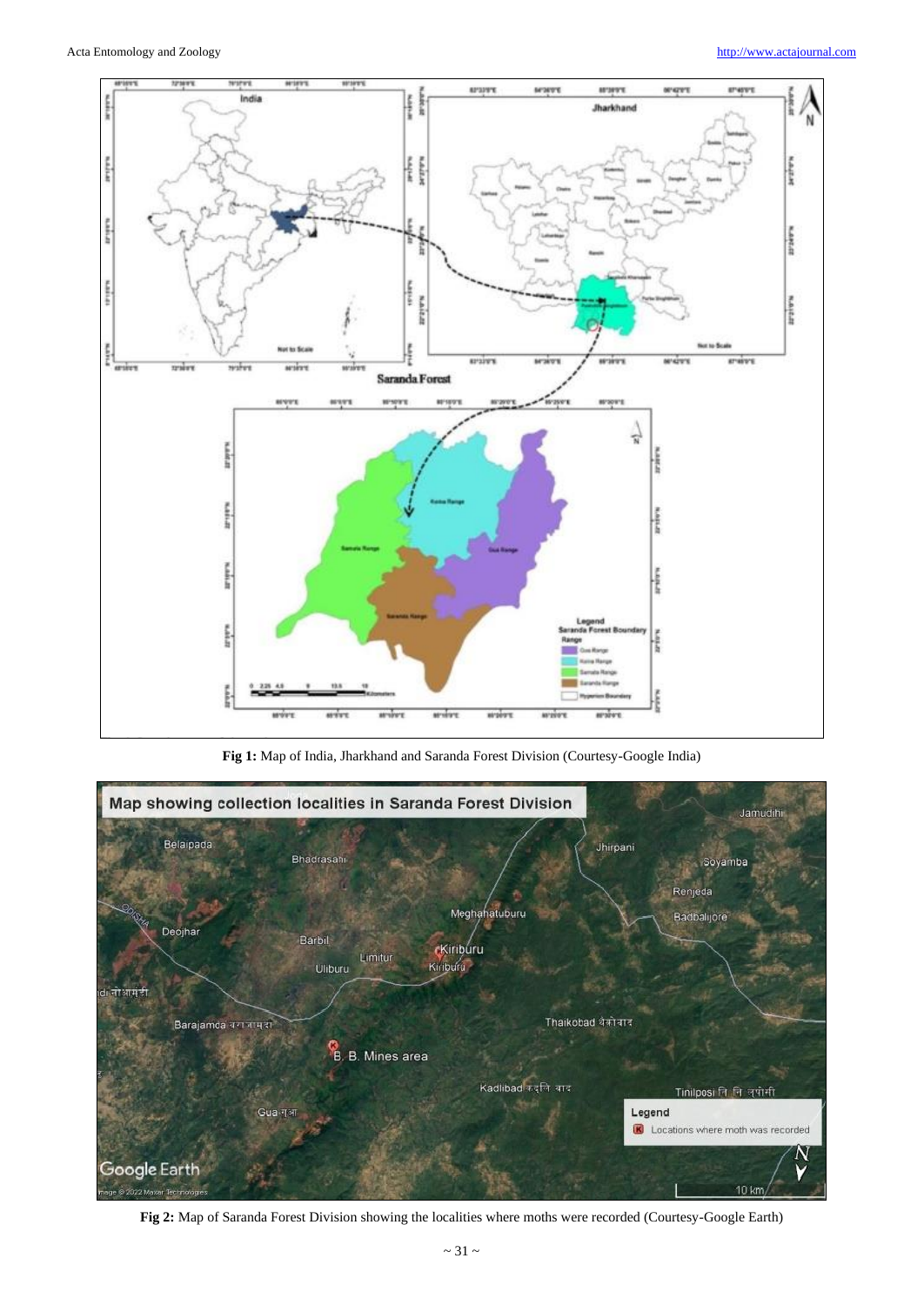

**Fig 1:** Map of India, Jharkhand and Saranda Forest Division (Courtesy-Google India)



**Fig 2:** Map of Saranda Forest Division showing the localities where moths were recorded (Courtesy-Google Earth)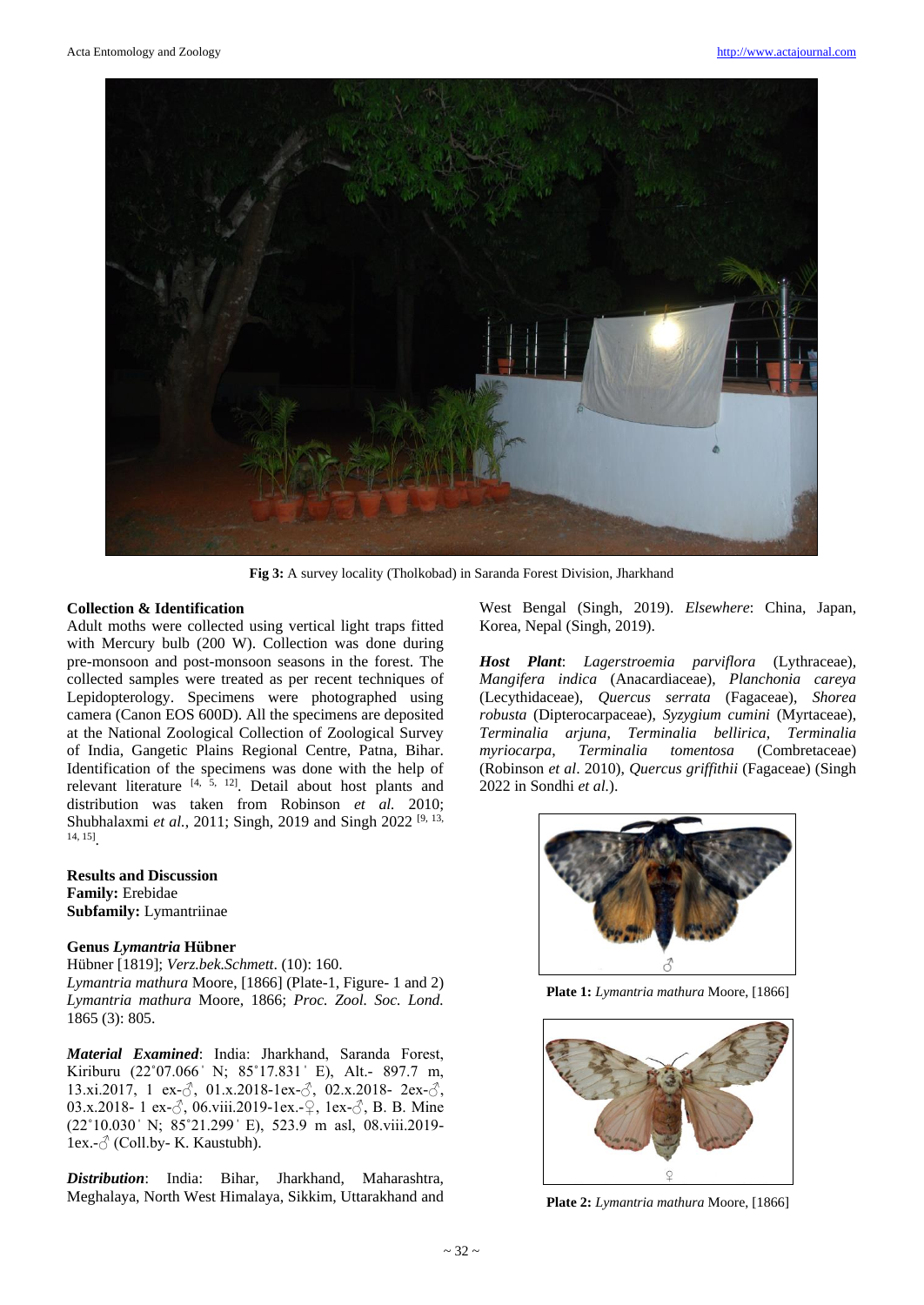

**Fig 3:** A survey locality (Tholkobad) in Saranda Forest Division, Jharkhand

# **Collection & Identification**

Adult moths were collected using vertical light traps fitted with Mercury bulb (200 W). Collection was done during pre-monsoon and post-monsoon seasons in the forest. The collected samples were treated as per recent techniques of Lepidopterology. Specimens were photographed using camera (Canon EOS 600D). All the specimens are deposited at the National Zoological Collection of Zoological Survey of India, Gangetic Plains Regional Centre, Patna, Bihar. Identification of the specimens was done with the help of relevant literature [4, 5, 12]. Detail about host plants and distribution was taken from Robinson *et al.* 2010; Shubhalaxmi *et al.*, 2011; Singh, 2019 and Singh 2022<sup>[9, 13,</sup> 14, 15] .

**Results and Discussion Family:** Erebidae **Subfamily:** Lymantriinae

# **Genus** *Lymantria* **Hübner**

Hübner [1819]; *Verz.bek.Schmett*. (10): 160. *Lymantria mathura* Moore, [1866] (Plate-1, Figure- 1 and 2) *Lymantria mathura* Moore, 1866; *Proc. Zool. Soc. Lond.* 1865 (3): 805.

*Material Examined*: India: Jharkhand, Saranda Forest, Kiriburu (22°07.066' N; 85°17.831' E), Alt.- 897.7 m, 13.xi.2017, 1 ex- $\beta$ , 01.x.2018-1ex- $\beta$ , 02.x.2018- 2ex- $\beta$ , 03.x.2018- 1 ex-♂, 06.viii.2019-1ex.-♀, 1ex-♂, B. B. Mine (22˚10.030 ̍ N; 85˚21.299 ̍ E), 523.9 m asl, 08.viii.2019- 1ex. $-\delta$  (Coll.by- K. Kaustubh).

*Distribution*: India: Bihar, Jharkhand, Maharashtra, Meghalaya, North West Himalaya, Sikkim, Uttarakhand and West Bengal (Singh, 2019). *Elsewhere*: China, Japan, Korea, Nepal (Singh, 2019).

*Host Plant*: *Lagerstroemia parviflora* (Lythraceae), *Mangifera indica* (Anacardiaceae), *Planchonia careya* (Lecythidaceae), *Quercus serrata* (Fagaceae), *Shorea robusta* (Dipterocarpaceae), *Syzygium cumini* (Myrtaceae), *Terminalia arjuna*, *Terminalia bellirica*, *Terminalia myriocarpa*, *Terminalia tomentosa* (Combretaceae) (Robinson *et al*. 2010), *Quercus griffithii* (Fagaceae) (Singh 2022 in Sondhi *et al.*).



**Plate 1:** *Lymantria mathura* Moore, [1866]



**Plate 2:** *Lymantria mathura* Moore, [1866]